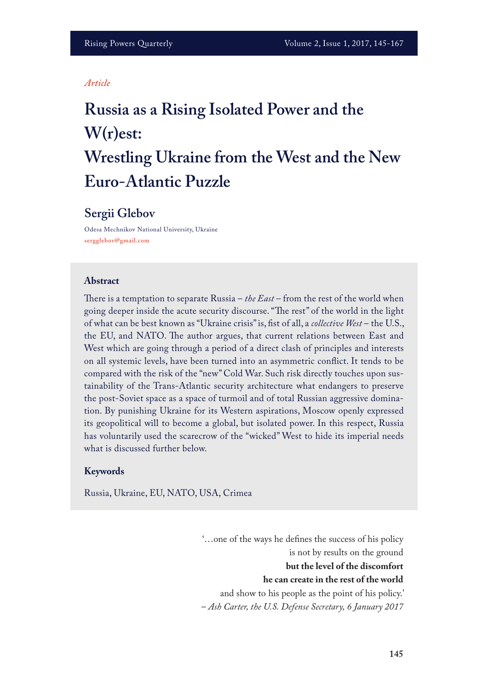#### *Article*

# **Russia as a Rising Isolated Power and the W(r)est: Wrestling Ukraine from the West and the New Euro-Atlantic Puzzle**

# **Sergii Glebov**

Odesa Mechnikov National University, Ukraine **sergglebov@gmail.com**

#### **Abstract**

There is a temptation to separate Russia – *the East* – from the rest of the world when going deeper inside the acute security discourse. "The rest" of the world in the light of what can be best known as "Ukraine crisis" is, fst of all, a *collective West* – the U.S., the EU, and NATO. The author argues, that current relations between East and West which are going through a period of a direct clash of principles and interests on all systemic levels, have been turned into an asymmetric confict. It tends to be compared with the risk of the "new" Cold War. Such risk directly touches upon sustainability of the Trans-Atlantic security architecture what endangers to preserve the post-Soviet space as a space of turmoil and of total Russian aggressive domination. By punishing Ukraine for its Western aspirations, Moscow openly expressed its geopolitical will to become a global, but isolated power. In this respect, Russia has voluntarily used the scarecrow of the "wicked" West to hide its imperial needs what is discussed further below.

#### **Keywords**

Russia, Ukraine, EU, NATO, USA, Crimea

'…one of the ways he defnes the success of his policy is not by results on the ground **but the level of the discomfort he can create in the rest of the world**  and show to his people as the point of his policy.' – *Ash Carter, the U.S. Defense Secretary, 6 January 2017*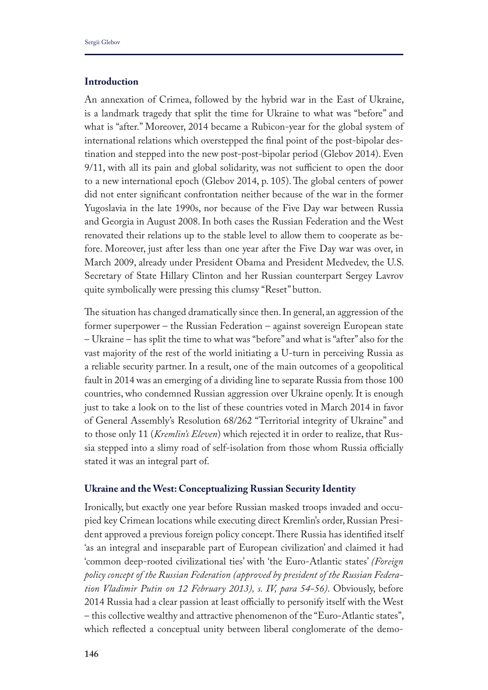## **Introduction**

An annexation of Crimea, followed by the hybrid war in the East of Ukraine, is a landmark tragedy that split the time for Ukraine to what was "before" and what is "after." Moreover, 2014 became a Rubicon-year for the global system of international relations which overstepped the fnal point of the post-bipolar destination and stepped into the new post-post-bipolar period (Glebov 2014). Even  $9/11$ , with all its pain and global solidarity, was not sufficient to open the door to a new international epoch (Glebov 2014, p. 105). The global centers of power did not enter signifcant confrontation neither because of the war in the former Yugoslavia in the late 1990s, nor because of the Five Day war between Russia and Georgia in August 2008. In both cases the Russian Federation and the West renovated their relations up to the stable level to allow them to cooperate as before. Moreover, just after less than one year after the Five Day war was over, in March 2009, already under President Obama and President Medvedev, the U.S. Secretary of State Hillary Clinton and her Russian counterpart Sergey Lavrov quite symbolically were pressing this clumsy "Reset" button.

The situation has changed dramatically since then. In general, an aggression of the former superpower – the Russian Federation – against sovereign European state – Ukraine – has split the time to what was "before" and what is "after" also for the vast majority of the rest of the world initiating a U-turn in perceiving Russia as a reliable security partner. In a result, one of the main outcomes of a geopolitical fault in 2014 was an emerging of a dividing line to separate Russia from those 100 countries, who condemned Russian aggression over Ukraine openly. It is enough just to take a look on to the list of these countries voted in March 2014 in favor of General Assembly's Resolution 68/262 "Territorial integrity of Ukraine" and to those only 11 (*Kremlin's Eleven*) which rejected it in order to realize, that Russia stepped into a slimy road of self-isolation from those whom Russia officially stated it was an integral part of.

## **Ukraine and the West: Conceptualizing Russian Security Identity**

Ironically, but exactly one year before Russian masked troops invaded and occupied key Crimean locations while executing direct Kremlin's order, Russian President approved a previous foreign policy concept. There Russia has identified itself 'as an integral and inseparable part of European civilization' and claimed it had 'common deep-rooted civilizational ties' with 'the Euro-Atlantic states' *(Foreign policy concept of the Russian Federation (approved by president of the Russian Federation Vladimir Putin on 12 February 2013), s. IV, para 54-56)*. Obviously, before 2014 Russia had a clear passion at least officially to personify itself with the West – this collective wealthy and attractive phenomenon of the "Euro-Atlantic states", which reflected a conceptual unity between liberal conglomerate of the demo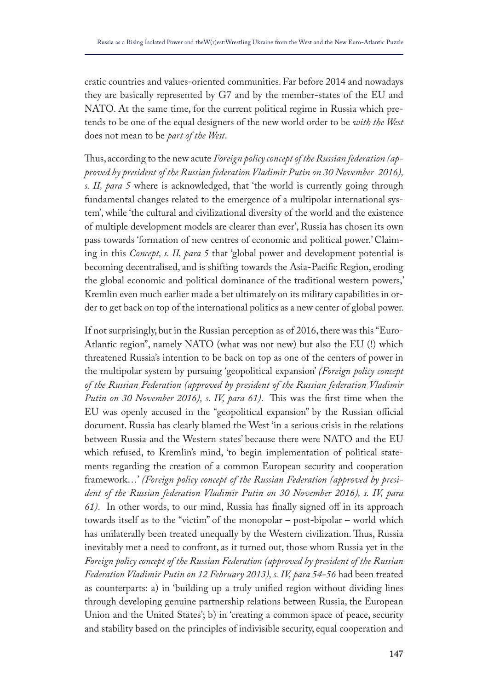cratic countries and values-oriented communities. Far before 2014 and nowadays they are basically represented by G7 and by the member-states of the EU and NATO. At the same time, for the current political regime in Russia which pretends to be one of the equal designers of the new world order to be *with the West*  does not mean to be *part of the West*.

Thus, according to the new acute *Foreign policy concept of the Russian federation (approved by president of the Russian federation Vladimir Putin on 30 November 2016), s. II, para 5* where is acknowledged, that 'the world is currently going through fundamental changes related to the emergence of a multipolar international system', while 'the cultural and civilizational diversity of the world and the existence of multiple development models are clearer than ever', Russia has chosen its own pass towards 'formation of new centres of economic and political power.' Claiming in this *Concept, s. II, para 5* that 'global power and development potential is becoming decentralised, and is shifting towards the Asia-Pacifc Region, eroding the global economic and political dominance of the traditional western powers,' Kremlin even much earlier made a bet ultimately on its military capabilities in order to get back on top of the international politics as a new center of global power.

If not surprisingly, but in the Russian perception as of 2016, there was this "Euro-Atlantic region", namely NATO (what was not new) but also the EU (!) which threatened Russia's intention to be back on top as one of the centers of power in the multipolar system by pursuing 'geopolitical expansion' *(Foreign policy concept of the Russian Federation (approved by president of the Russian federation Vladimir*  Putin on 30 November 2016), s. IV, para 61). This was the first time when the EU was openly accused in the "geopolitical expansion" by the Russian official document. Russia has clearly blamed the West 'in a serious crisis in the relations between Russia and the Western states' because there were NATO and the EU which refused, to Kremlin's mind, 'to begin implementation of political statements regarding the creation of a common European security and cooperation framework…' *(Foreign policy concept of the Russian Federation (approved by president of the Russian federation Vladimir Putin on 30 November 2016), s. IV, para 61)*. In other words, to our mind, Russia has fnally signed of in its approach towards itself as to the "victim" of the monopolar – post-bipolar – world which has unilaterally been treated unequally by the Western civilization. Thus, Russia inevitably met a need to confront, as it turned out, those whom Russia yet in the *Foreign policy concept of the Russian Federation (approved by president of the Russian Federation Vladimir Putin on 12 February 2013), s. IV, para 54-56* had been treated as counterparts: a) in 'building up a truly unifed region without dividing lines through developing genuine partnership relations between Russia, the European Union and the United States'; b) in 'creating a common space of peace, security and stability based on the principles of indivisible security, equal cooperation and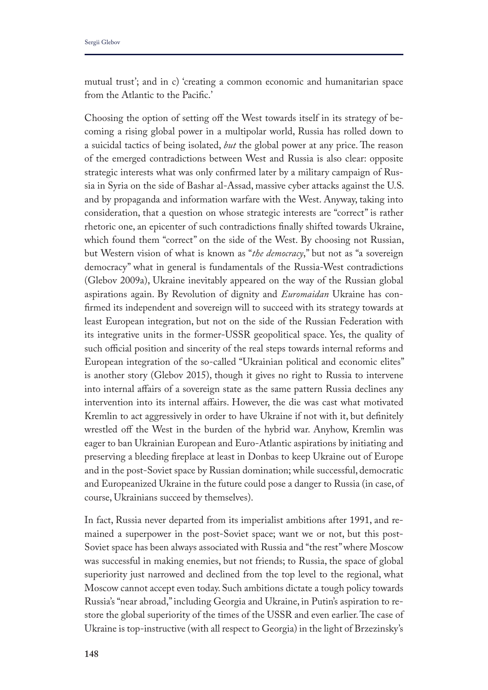mutual trust'; and in c) 'creating a common economic and humanitarian space from the Atlantic to the Pacifc.'

Choosing the option of setting off the West towards itself in its strategy of becoming a rising global power in a multipolar world, Russia has rolled down to a suicidal tactics of being isolated, *but* the global power at any price. The reason of the emerged contradictions between West and Russia is also clear: opposite strategic interests what was only confrmed later by a military campaign of Russia in Syria on the side of Bashar al-Assad, massive cyber attacks against the U.S. and by propaganda and information warfare with the West. Anyway, taking into consideration, that a question on whose strategic interests are "correct" is rather rhetoric one, an epicenter of such contradictions fnally shifted towards Ukraine, which found them "correct" on the side of the West. By choosing not Russian, but Western vision of what is known as "*the democracy*," but not as "a sovereign democracy" what in general is fundamentals of the Russia-West contradictions (Glebov 2009a), Ukraine inevitably appeared on the way of the Russian global aspirations again. By Revolution of dignity and *Euromaidan* Ukraine has confrmed its independent and sovereign will to succeed with its strategy towards at least European integration, but not on the side of the Russian Federation with its integrative units in the former-USSR geopolitical space. Yes, the quality of such official position and sincerity of the real steps towards internal reforms and European integration of the so-called "Ukrainian political and economic elites" is another story (Glebov 2015), though it gives no right to Russia to intervene into internal affairs of a sovereign state as the same pattern Russia declines any intervention into its internal afairs. However, the die was cast what motivated Kremlin to act aggressively in order to have Ukraine if not with it, but defnitely wrestled off the West in the burden of the hybrid war. Anyhow, Kremlin was eager to ban Ukrainian European and Euro-Atlantic aspirations by initiating and preserving a bleeding freplace at least in Donbas to keep Ukraine out of Europe and in the post-Soviet space by Russian domination; while successful, democratic and Europeanized Ukraine in the future could pose a danger to Russia (in case, of course, Ukrainians succeed by themselves).

In fact, Russia never departed from its imperialist ambitions after 1991, and remained a superpower in the post-Soviet space; want we or not, but this post-Soviet space has been always associated with Russia and "the rest" where Moscow was successful in making enemies, but not friends; to Russia, the space of global superiority just narrowed and declined from the top level to the regional, what Moscow cannot accept even today. Such ambitions dictate a tough policy towards Russia's "near abroad," including Georgia and Ukraine, in Putin's aspiration to restore the global superiority of the times of the USSR and even earlier. The case of Ukraine is top-instructive (with all respect to Georgia) in the light of Brzezinsky's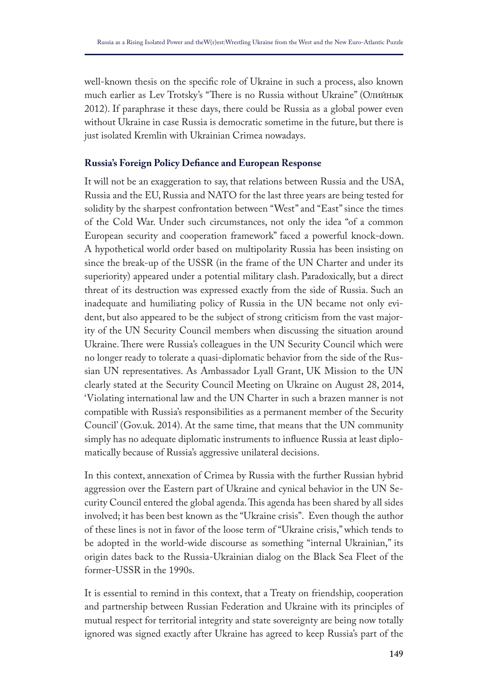well-known thesis on the specifc role of Ukraine in such a process, also known much earlier as Lev Trotsky's "There is no Russia without Ukraine" (Олийнык 2012). If paraphrase it these days, there could be Russia as a global power even without Ukraine in case Russia is democratic sometime in the future, but there is just isolated Kremlin with Ukrainian Crimea nowadays.

## **Russia's Foreign Policy Defance and European Response**

It will not be an exaggeration to say, that relations between Russia and the USA, Russia and the EU, Russia and NATO for the last three years are being tested for solidity by the sharpest confrontation between "West" and "East" since the times of the Cold War. Under such circumstances, not only the idea "of a common European security and cooperation framework" faced a powerful knock-down. A hypothetical world order based on multipolarity Russia has been insisting on since the break-up of the USSR (in the frame of the UN Charter and under its superiority) appeared under a potential military clash. Paradoxically, but a direct threat of its destruction was expressed exactly from the side of Russia. Such an inadequate and humiliating policy of Russia in the UN became not only evident, but also appeared to be the subject of strong criticism from the vast majority of the UN Security Council members when discussing the situation around Ukraine. There were Russia's colleagues in the UN Security Council which were no longer ready to tolerate a quasi-diplomatic behavior from the side of the Russian UN representatives. As Ambassador Lyall Grant, UK Mission to the UN clearly stated at the Security Council Meeting on Ukraine on August 28, 2014, 'Violating international law and the UN Charter in such a brazen manner is not compatible with Russia's responsibilities as a permanent member of the Security Council' (Gov.uk. 2014). At the same time, that means that the UN community simply has no adequate diplomatic instruments to infuence Russia at least diplomatically because of Russia's aggressive unilateral decisions.

In this context, annexation of Crimea by Russia with the further Russian hybrid aggression over the Eastern part of Ukraine and cynical behavior in the UN Security Council entered the global agenda. This agenda has been shared by all sides involved; it has been best known as the "Ukraine crisis". Even though the author of these lines is not in favor of the loose term of "Ukraine crisis," which tends to be adopted in the world-wide discourse as something "internal Ukrainian," its origin dates back to the Russia-Ukrainian dialog on the Black Sea Fleet of the former-USSR in the 1990s.

It is essential to remind in this context, that a Treaty on friendship, cooperation and partnership between Russian Federation and Ukraine with its principles of mutual respect for territorial integrity and state sovereignty are being now totally ignored was signed exactly after Ukraine has agreed to keep Russia's part of the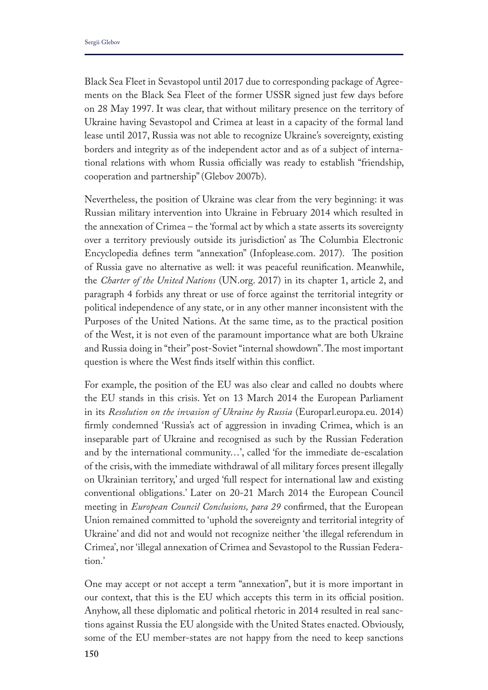Black Sea Fleet in Sevastopol until 2017 due to corresponding package of Agreements on the Black Sea Fleet of the former USSR signed just few days before on 28 May 1997. It was clear, that without military presence on the territory of Ukraine having Sevastopol and Crimea at least in a capacity of the formal land lease until 2017, Russia was not able to recognize Ukraine's sovereignty, existing borders and integrity as of the independent actor and as of a subject of international relations with whom Russia officially was ready to establish "friendship, cooperation and partnership" (Glebov 2007b).

Nevertheless, the position of Ukraine was clear from the very beginning: it was Russian military intervention into Ukraine in February 2014 which resulted in the annexation of Crimea – the 'formal act by which a state asserts its sovereignty over a territory previously outside its jurisdiction' as The Columbia Electronic Encyclopedia defines term "annexation" (Infoplease.com. 2017). The position of Russia gave no alternative as well: it was peaceful reunifcation. Meanwhile, the *Charter of the United Nations* (UN.org. 2017) in its chapter 1, article 2, and paragraph 4 forbids any threat or use of force against the territorial integrity or political independence of any state, or in any other manner inconsistent with the Purposes of the United Nations. At the same time, as to the practical position of the West, it is not even of the paramount importance what are both Ukraine and Russia doing in "their" post-Soviet "internal showdown". The most important question is where the West fnds itself within this confict.

For example, the position of the EU was also clear and called no doubts where the EU stands in this crisis. Yet on 13 March 2014 the European Parliament in its *Resolution on the invasion of Ukraine by Russia* (Europarl.europa.eu. 2014) frmly condemned 'Russia's act of aggression in invading Crimea, which is an inseparable part of Ukraine and recognised as such by the Russian Federation and by the international community…', called 'for the immediate de-escalation of the crisis, with the immediate withdrawal of all military forces present illegally on Ukrainian territory,' and urged 'full respect for international law and existing conventional obligations.' Later on 20-21 March 2014 the European Council meeting in *European Council Conclusions, para 29* confrmed, that the European Union remained committed to 'uphold the sovereignty and territorial integrity of Ukraine' and did not and would not recognize neither 'the illegal referendum in Crimea', nor 'illegal annexation of Crimea and Sevastopol to the Russian Federation.'

One may accept or not accept a term "annexation", but it is more important in our context, that this is the EU which accepts this term in its official position. Anyhow, all these diplomatic and political rhetoric in 2014 resulted in real sanctions against Russia the EU alongside with the United States enacted. Obviously, some of the EU member-states are not happy from the need to keep sanctions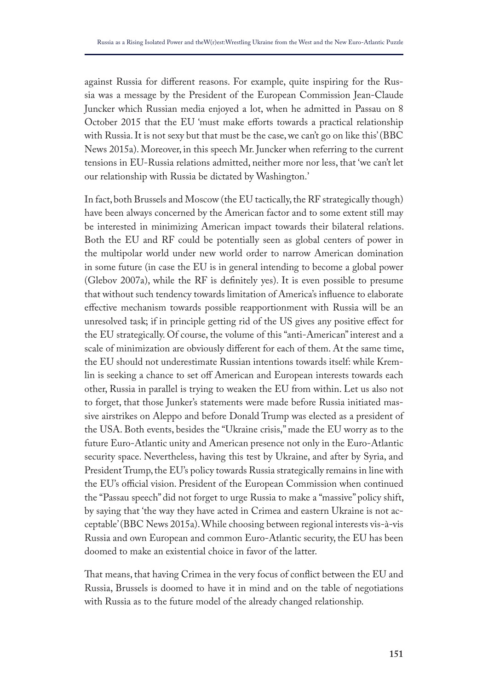against Russia for diferent reasons. For example, quite inspiring for the Russia was a message by the President of the European Commission Jean-Claude Juncker which Russian media enjoyed a lot, when he admitted in Passau on 8 October 2015 that the EU 'must make efforts towards a practical relationship with Russia. It is not sexy but that must be the case, we can't go on like this' (BBC News 2015a). Moreover, in this speech Mr. Juncker when referring to the current tensions in EU-Russia relations admitted, neither more nor less, that 'we can't let our relationship with Russia be dictated by Washington.'

In fact, both Brussels and Moscow (the EU tactically, the RF strategically though) have been always concerned by the American factor and to some extent still may be interested in minimizing American impact towards their bilateral relations. Both the EU and RF could be potentially seen as global centers of power in the multipolar world under new world order to narrow American domination in some future (in case the EU is in general intending to become a global power (Glebov 2007a), while the RF is defnitely yes). It is even possible to presume that without such tendency towards limitation of America's infuence to elaborate efective mechanism towards possible reapportionment with Russia will be an unresolved task; if in principle getting rid of the US gives any positive efect for the EU strategically. Of course, the volume of this "anti-American" interest and a scale of minimization are obviously diferent for each of them. At the same time, the EU should not underestimate Russian intentions towards itself: while Kremlin is seeking a chance to set of American and European interests towards each other, Russia in parallel is trying to weaken the EU from within. Let us also not to forget, that those Junker's statements were made before Russia initiated massive airstrikes on Aleppo and before Donald Trump was elected as a president of the USA. Both events, besides the "Ukraine crisis," made the EU worry as to the future Euro-Atlantic unity and American presence not only in the Euro-Atlantic security space. Nevertheless, having this test by Ukraine, and after by Syria, and President Trump, the EU's policy towards Russia strategically remains in line with the EU's official vision. President of the European Commission when continued the "Passau speech" did not forget to urge Russia to make a "massive" policy shift, by saying that 'the way they have acted in Crimea and eastern Ukraine is not acceptable' (BBC News 2015a). While choosing between regional interests vis-à-vis Russia and own European and common Euro-Atlantic security, the EU has been doomed to make an existential choice in favor of the latter.

That means, that having Crimea in the very focus of conflict between the EU and Russia, Brussels is doomed to have it in mind and on the table of negotiations with Russia as to the future model of the already changed relationship.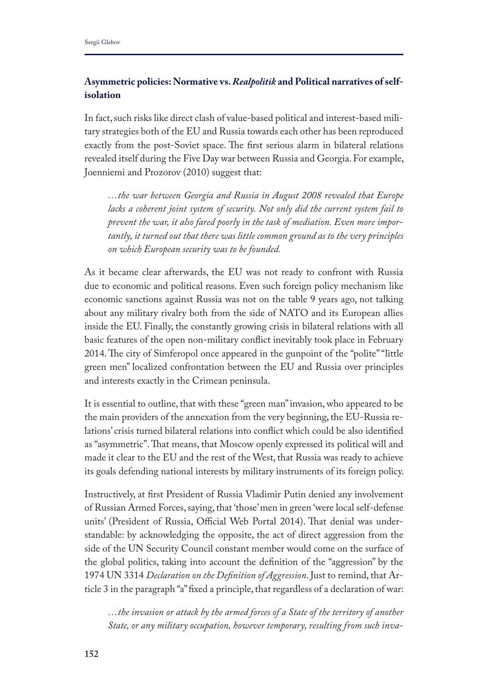# **Asymmetric policies: Normative vs.** *Realpolitik* **and Political narratives of selfisolation**

In fact, such risks like direct clash of value-based political and interest-based military strategies both of the EU and Russia towards each other has been reproduced exactly from the post-Soviet space. The first serious alarm in bilateral relations revealed itself during the Five Day war between Russia and Georgia. For example, Joenniemi and Prozorov (2010) suggest that:

*…the war between Georgia and Russia in August 2008 revealed that Europe lacks a coherent joint system of security. Not only did the current system fail to prevent the war, it also fared poorly in the task of mediation. Even more importantly, it turned out that there was little common ground as to the very principles on which European security was to be founded.* 

As it became clear afterwards, the EU was not ready to confront with Russia due to economic and political reasons. Even such foreign policy mechanism like economic sanctions against Russia was not on the table 9 years ago, not talking about any military rivalry both from the side of NATO and its European allies inside the EU. Finally, the constantly growing crisis in bilateral relations with all basic features of the open non-military confict inevitably took place in February 2014. The city of Simferopol once appeared in the gunpoint of the "polite" "little green men" localized confrontation between the EU and Russia over principles and interests exactly in the Crimean peninsula.

It is essential to outline, that with these "green man" invasion, who appeared to be the main providers of the annexation from the very beginning, the EU-Russia relations' crisis turned bilateral relations into confict which could be also identifed as "asymmetric". Tat means, that Moscow openly expressed its political will and made it clear to the EU and the rest of the West, that Russia was ready to achieve its goals defending national interests by military instruments of its foreign policy.

Instructively, at frst President of Russia Vladimir Putin denied any involvement of Russian Armed Forces, saying, that 'those' men in green 'were local self-defense units' (President of Russia, Official Web Portal 2014). That denial was understandable: by acknowledging the opposite, the act of direct aggression from the side of the UN Security Council constant member would come on the surface of the global politics, taking into account the defnition of the "aggression" by the 1974 UN 3314 *Declaration on the Defnition of Aggression*. Just to remind, that Article 3 in the paragraph "a" fxed a principle, that regardless of a declaration of war:

*…the invasion or attack by the armed forces of a State of the territory of another State, or any military occupation, however temporary, resulting from such inva-*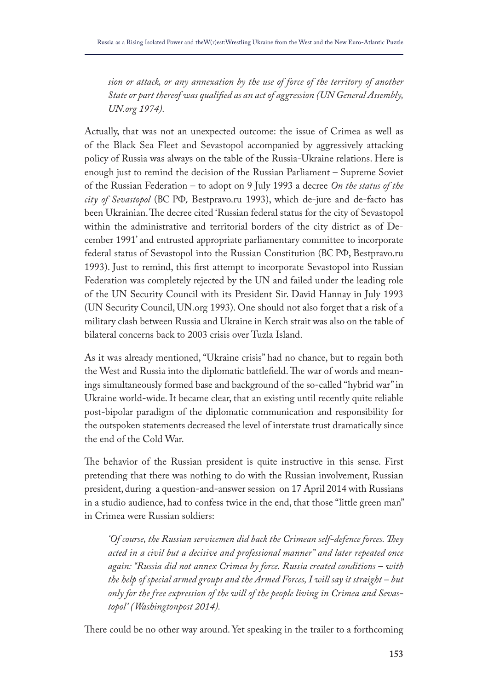*sion or attack, or any annexation by the use of force of the territory of another State or part thereof was qualifed as an act of aggression (UN General Assembly, UN.org 1974).*

Actually, that was not an unexpected outcome: the issue of Crimea as well as of the Black Sea Fleet and Sevastopol accompanied by aggressively attacking policy of Russia was always on the table of the Russia-Ukraine relations. Here is enough just to remind the decision of the Russian Parliament – Supreme Soviet of the Russian Federation – to adopt on 9 July 1993 a decree *On the status of the city of Sevastopol* (ВС РФ, Bestpravo.ru 1993), which de-jure and de-facto has been Ukrainian. The decree cited 'Russian federal status for the city of Sevastopol within the administrative and territorial borders of the city district as of December 1991' and entrusted appropriate parliamentary committee to incorporate federal status of Sevastopol into the Russian Constitution (BC P $\Phi$ , Bestpravo.ru 1993). Just to remind, this frst attempt to incorporate Sevastopol into Russian Federation was completely rejected by the UN and failed under the leading role of the UN Security Council with its President Sir. David Hannay in July 1993 (UN Security Council, UN.org 1993). One should not also forget that a risk of a military clash between Russia and Ukraine in Kerch strait was also on the table of bilateral concerns back to 2003 crisis over Tuzla Island.

As it was already mentioned, "Ukraine crisis" had no chance, but to regain both the West and Russia into the diplomatic battlefield. The war of words and meanings simultaneously formed base and background of the so-called "hybrid war" in Ukraine world-wide. It became clear, that an existing until recently quite reliable post-bipolar paradigm of the diplomatic communication and responsibility for the outspoken statements decreased the level of interstate trust dramatically since the end of the Cold War.

The behavior of the Russian president is quite instructive in this sense. First pretending that there was nothing to do with the Russian involvement, Russian president, during a question-and-answer session on 17 April 2014 with Russians in a studio audience, had to confess twice in the end, that those "little green man" in Crimea were Russian soldiers:

*'Of course, the Russian servicemen did back the Crimean self-defence forces. Tey acted in a civil but a decisive and professional manner" and later repeated once again: "Russia did not annex Crimea by force. Russia created conditions – with the help of special armed groups and the Armed Forces, I will say it straight – but only for the free expression of the will of the people living in Crimea and Sevastopol' (Washingtonpost 2014).*

There could be no other way around. Yet speaking in the trailer to a forthcoming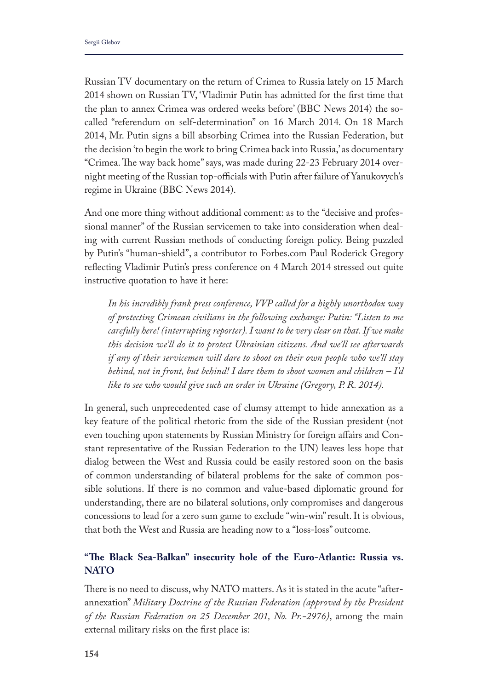Russian TV documentary on the return of Crimea to Russia lately on 15 March 2014 shown on Russian TV, 'Vladimir Putin has admitted for the frst time that the plan to annex Crimea was ordered weeks before' (BBC News 2014) the socalled "referendum on self-determination" on 16 March 2014. On 18 March 2014, Mr. Putin signs a bill absorbing Crimea into the Russian Federation, but the decision 'to begin the work to bring Crimea back into Russia,' as documentary "Crimea. The way back home" says, was made during 22-23 February 2014 overnight meeting of the Russian top-officials with Putin after failure of Yanukovych's regime in Ukraine (BBC News 2014).

And one more thing without additional comment: as to the "decisive and professional manner" of the Russian servicemen to take into consideration when dealing with current Russian methods of conducting foreign policy. Being puzzled by Putin's "human-shield", a contributor to Forbes.com Paul Roderick Gregory refecting Vladimir Putin's press conference on 4 March 2014 stressed out quite instructive quotation to have it here:

*In his incredibly frank press conference, VVP called for a highly unorthodox way of protecting Crimean civilians in the following exchange: Putin: "Listen to me carefully here! (interrupting reporter). I want to be very clear on that. If we make this decision we'll do it to protect Ukrainian citizens. And we'll see afterwards if any of their servicemen will dare to shoot on their own people who we'll stay behind, not in front, but behind! I dare them to shoot women and children – I'd like to see who would give such an order in Ukraine (Gregory, P. R. 2014).*

In general, such unprecedented case of clumsy attempt to hide annexation as a key feature of the political rhetoric from the side of the Russian president (not even touching upon statements by Russian Ministry for foreign afairs and Constant representative of the Russian Federation to the UN) leaves less hope that dialog between the West and Russia could be easily restored soon on the basis of common understanding of bilateral problems for the sake of common possible solutions. If there is no common and value-based diplomatic ground for understanding, there are no bilateral solutions, only compromises and dangerous concessions to lead for a zero sum game to exclude "win-win" result. It is obvious, that both the West and Russia are heading now to a "loss-loss" outcome.

# **"Te Black Sea-Balkan" insecurity hole of the Euro-Atlantic: Russia vs. NATO**

There is no need to discuss, why NATO matters. As it is stated in the acute "afterannexation" *Military Doctrine of the Russian Federation (approved by the President of the Russian Federation on 25 December 201, No. Pr.-2976)*, among the main external military risks on the frst place is: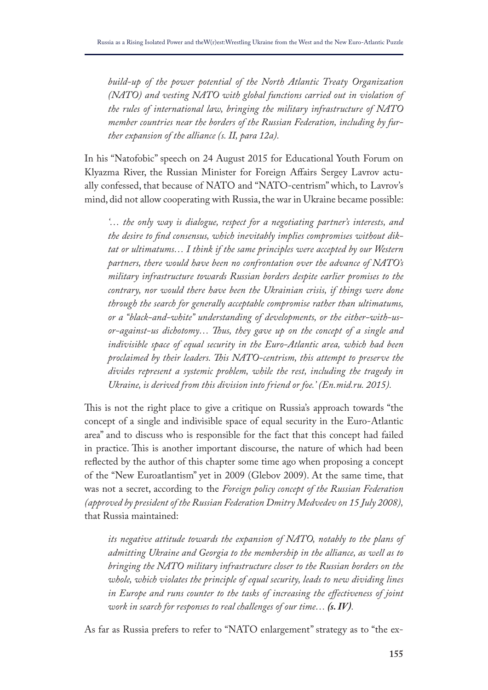*build-up of the power potential of the North Atlantic Treaty Organization (NATO) and vesting NATO with global functions carried out in violation of the rules of international law, bringing the military infrastructure of NATO member countries near the borders of the Russian Federation, including by further expansion of the alliance (s. II, para 12a).*

In his "Natofobic" speech on 24 August 2015 for Educational Youth Forum on Klyazma River, the Russian Minister for Foreign Afairs Sergey Lavrov actually confessed, that because of NATO and "NATO-centrism" which, to Lavrov's mind, did not allow cooperating with Russia, the war in Ukraine became possible:

*'… the only way is dialogue, respect for a negotiating partner's interests, and the desire to fnd consensus, which inevitably implies compromises without diktat or ultimatums… I think if the same principles were accepted by our Western partners, there would have been no confrontation over the advance of NATO's military infrastructure towards Russian borders despite earlier promises to the contrary, nor would there have been the Ukrainian crisis, if things were done through the search for generally acceptable compromise rather than ultimatums, or a "black-and-white" understanding of developments, or the either-with-usor-against-us dichotomy… Tus, they gave up on the concept of a single and indivisible space of equal security in the Euro-Atlantic area, which had been proclaimed by their leaders. Tis NATO-centrism, this attempt to preserve the divides represent a systemic problem, while the rest, including the tragedy in Ukraine, is derived from this division into friend or foe.' (En.mid.ru. 2015).* 

This is not the right place to give a critique on Russia's approach towards "the concept of a single and indivisible space of equal security in the Euro-Atlantic area" and to discuss who is responsible for the fact that this concept had failed in practice. This is another important discourse, the nature of which had been refected by the author of this chapter some time ago when proposing a concept of the "New Euroatlantism" yet in 2009 (Glebov 2009). At the same time, that was not a secret, according to the *Foreign policy concept of the Russian Federation (approved by president of the Russian Federation Dmitry Medvedev on 15 July 2008),* that Russia maintained:

*its negative attitude towards the expansion of NATO, notably to the plans of admitting Ukraine and Georgia to the membership in the alliance, as well as to bringing the NATO military infrastructure closer to the Russian borders on the*  whole, which violates the principle of equal security, leads to new dividing lines *in Europe and runs counter to the tasks of increasing the efectiveness of joint work in search for responses to real challenges of our time… (s. IV).* 

As far as Russia prefers to refer to "NATO enlargement" strategy as to "the ex-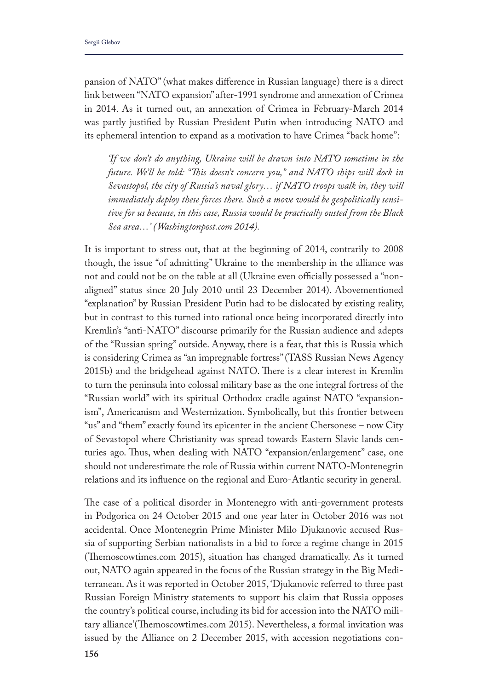pansion of NATO" (what makes diference in Russian language) there is a direct link between "NATO expansion" after-1991 syndrome and annexation of Crimea in 2014. As it turned out, an annexation of Crimea in February-March 2014 was partly justifed by Russian President Putin when introducing NATO and its ephemeral intention to expand as a motivation to have Crimea "back home":

*'If we don't do anything, Ukraine will be drawn into NATO sometime in the future. We'll be told: "Tis doesn't concern you," and NATO ships will dock in Sevastopol, the city of Russia's naval glory… if NATO troops walk in, they will immediately deploy these forces there. Such a move would be geopolitically sensitive for us because, in this case, Russia would be practically ousted from the Black Sea area…' (Washingtonpost.com 2014).* 

It is important to stress out, that at the beginning of 2014, contrarily to 2008 though, the issue "of admitting" Ukraine to the membership in the alliance was not and could not be on the table at all (Ukraine even officially possessed a "nonaligned" status since 20 July 2010 until 23 December 2014). Abovementioned "explanation" by Russian President Putin had to be dislocated by existing reality, but in contrast to this turned into rational once being incorporated directly into Kremlin's "anti-NATO" discourse primarily for the Russian audience and adepts of the "Russian spring" outside. Anyway, there is a fear, that this is Russia which is considering Crimea as "an impregnable fortress" (TASS Russian News Agency 2015b) and the bridgehead against NATO. There is a clear interest in Kremlin to turn the peninsula into colossal military base as the one integral fortress of the "Russian world" with its spiritual Orthodox cradle against NATO "expansionism", Americanism and Westernization. Symbolically, but this frontier between "us" and "them" exactly found its epicenter in the ancient Chersonese – now City of Sevastopol where Christianity was spread towards Eastern Slavic lands centuries ago. Thus, when dealing with NATO "expansion/enlargement" case, one should not underestimate the role of Russia within current NATO-Montenegrin relations and its infuence on the regional and Euro-Atlantic security in general.

The case of a political disorder in Montenegro with anti-government protests in Podgorica on 24 October 2015 and one year later in October 2016 was not accidental. Once Montenegrin Prime Minister Milo Djukanovic accused Russia of supporting Serbian nationalists in a bid to force a regime change in 2015 (Themoscowtimes.com 2015), situation has changed dramatically. As it turned out, NATO again appeared in the focus of the Russian strategy in the Big Mediterranean. As it was reported in October 2015, 'Djukanovic referred to three past Russian Foreign Ministry statements to support his claim that Russia opposes the country's political course, including its bid for accession into the NATO military alliance'(Themoscowtimes.com 2015). Nevertheless, a formal invitation was issued by the Alliance on 2 December 2015, with accession negotiations con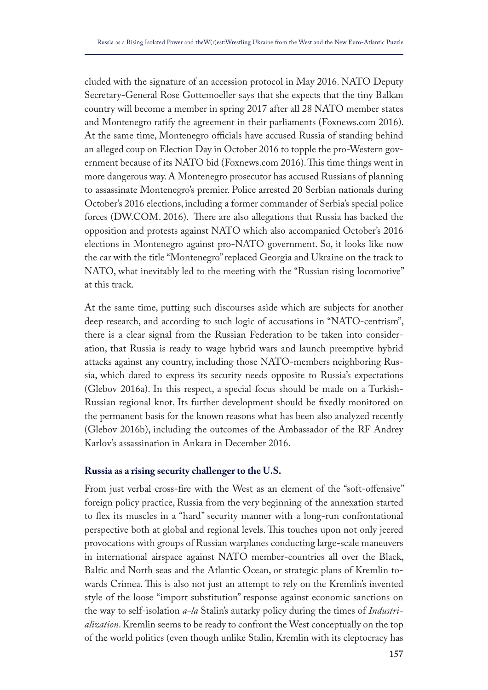cluded with the signature of an accession protocol in May 2016. NATO Deputy Secretary-General Rose Gottemoeller says that she expects that the tiny Balkan country will become a member in spring 2017 after all 28 NATO member states and Montenegro ratify the agreement in their parliaments (Foxnews.com 2016). At the same time, Montenegro officials have accused Russia of standing behind an alleged coup on Election Day in October 2016 to topple the pro-Western government because of its NATO bid (Foxnews.com 2016). This time things went in more dangerous way. A Montenegro prosecutor has accused Russians of planning to assassinate Montenegro's premier. Police arrested 20 Serbian nationals during October's 2016 elections, including a former commander of Serbia's special police forces (DW.COM. 2016). There are also allegations that Russia has backed the opposition and protests against NATO which also accompanied October's 2016 elections in Montenegro against pro-NATO government. So, it looks like now the car with the title "Montenegro" replaced Georgia and Ukraine on the track to NATO, what inevitably led to the meeting with the "Russian rising locomotive" at this track.

At the same time, putting such discourses aside which are subjects for another deep research, and according to such logic of accusations in "NATO-centrism", there is a clear signal from the Russian Federation to be taken into consideration, that Russia is ready to wage hybrid wars and launch preemptive hybrid attacks against any country, including those NATO-members neighboring Russia, which dared to express its security needs opposite to Russia's expectations (Glebov 2016a). In this respect, a special focus should be made on a Turkish-Russian regional knot. Its further development should be fxedly monitored on the permanent basis for the known reasons what has been also analyzed recently (Glebov 2016b), including the outcomes of the Ambassador of the RF Andrey Karlov's assassination in Ankara in December 2016.

#### **Russia as a rising security challenger to the U.S.**

From just verbal cross-fre with the West as an element of the "soft-ofensive" foreign policy practice, Russia from the very beginning of the annexation started to fex its muscles in a "hard" security manner with a long-run confrontational perspective both at global and regional levels. This touches upon not only jeered provocations with groups of Russian warplanes conducting large-scale maneuvers in international airspace against NATO member-countries all over the Black, Baltic and North seas and the Atlantic Ocean, or strategic plans of Kremlin towards Crimea. This is also not just an attempt to rely on the Kremlin's invented style of the loose "import substitution" response against economic sanctions on the way to self-isolation *a-la* Stalin's autarky policy during the times of *Industrialization*. Kremlin seems to be ready to confront the West conceptually on the top of the world politics (even though unlike Stalin, Kremlin with its cleptocracy has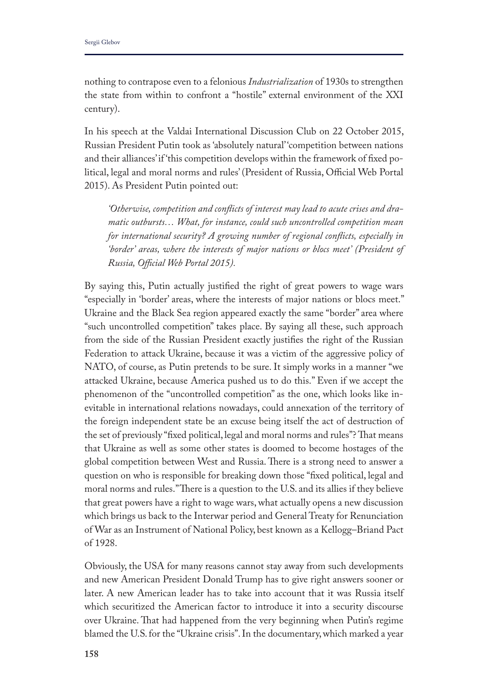nothing to contrapose even to a felonious *Industrialization* of 1930s to strengthen the state from within to confront a "hostile" external environment of the XXI century).

In his speech at the Valdai International Discussion Club on 22 October 2015, Russian President Putin took as 'absolutely natural' 'competition between nations and their alliances' if 'this competition develops within the framework of fxed political, legal and moral norms and rules' (President of Russia, Official Web Portal 2015). As President Putin pointed out:

*'Otherwise, competition and conficts of interest may lead to acute crises and dramatic outbursts… What, for instance, could such uncontrolled competition mean for international security? A growing number of regional conficts, especially in 'border' areas, where the interests of major nations or blocs meet' (President of Russia, Ofcial Web Portal 2015).*

By saying this, Putin actually justifed the right of great powers to wage wars "especially in 'border' areas, where the interests of major nations or blocs meet." Ukraine and the Black Sea region appeared exactly the same "border" area where "such uncontrolled competition" takes place. By saying all these, such approach from the side of the Russian President exactly justifes the right of the Russian Federation to attack Ukraine, because it was a victim of the aggressive policy of NATO, of course, as Putin pretends to be sure. It simply works in a manner "we attacked Ukraine, because America pushed us to do this." Even if we accept the phenomenon of the "uncontrolled competition" as the one, which looks like inevitable in international relations nowadays, could annexation of the territory of the foreign independent state be an excuse being itself the act of destruction of the set of previously "fixed political, legal and moral norms and rules"? That means that Ukraine as well as some other states is doomed to become hostages of the global competition between West and Russia. There is a strong need to answer a question on who is responsible for breaking down those "fxed political, legal and moral norms and rules." There is a question to the U.S. and its allies if they believe that great powers have a right to wage wars, what actually opens a new discussion which brings us back to the Interwar period and General Treaty for Renunciation of War as an Instrument of National Policy, best known as a Kellogg–Briand Pact of 1928.

Obviously, the USA for many reasons cannot stay away from such developments and new American President Donald Trump has to give right answers sooner or later. A new American leader has to take into account that it was Russia itself which securitized the American factor to introduce it into a security discourse over Ukraine. That had happened from the very beginning when Putin's regime blamed the U.S. for the "Ukraine crisis". In the documentary, which marked a year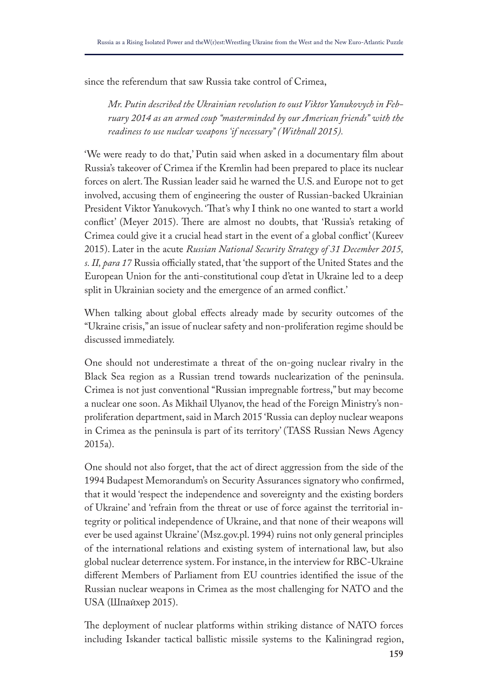since the referendum that saw Russia take control of Crimea,

*Mr. Putin described the Ukrainian revolution to oust Viktor Yanukovych in February 2014 as an armed coup "masterminded by our American friends" with the readiness to use nuclear weapons 'if necessary" (Withnall 2015).* 

'We were ready to do that,' Putin said when asked in a documentary flm about Russia's takeover of Crimea if the Kremlin had been prepared to place its nuclear forces on alert. The Russian leader said he warned the U.S. and Europe not to get involved, accusing them of engineering the ouster of Russian-backed Ukrainian President Viktor Yanukovych. 'That's why I think no one wanted to start a world conflict' (Meyer 2015). There are almost no doubts, that 'Russia's retaking of Crimea could give it a crucial head start in the event of a global confict' (Kureev 2015). Later in the acute *Russian National Security Strategy of 31 December 2015, s. II, para 17* Russia officially stated, that 'the support of the United States and the European Union for the anti-constitutional coup d'etat in Ukraine led to a deep split in Ukrainian society and the emergence of an armed confict.'

When talking about global effects already made by security outcomes of the "Ukraine crisis," an issue of nuclear safety and non-proliferation regime should be discussed immediately.

One should not underestimate a threat of the on-going nuclear rivalry in the Black Sea region as a Russian trend towards nuclearization of the peninsula. Crimea is not just conventional "Russian impregnable fortress," but may become a nuclear one soon. As Mikhail Ulyanov, the head of the Foreign Ministry's nonproliferation department, said in March 2015 'Russia can deploy nuclear weapons in Crimea as the peninsula is part of its territory' (TASS Russian News Agency 2015a).

One should not also forget, that the act of direct aggression from the side of the 1994 Budapest Memorandum's on Security Assurances signatory who confrmed, that it would 'respect the independence and sovereignty and the existing borders of Ukraine' and 'refrain from the threat or use of force against the territorial integrity or political independence of Ukraine, and that none of their weapons will ever be used against Ukraine' (Msz.gov.pl. 1994) ruins not only general principles of the international relations and existing system of international law, but also global nuclear deterrence system. For instance, in the interview for RBC-Ukraine diferent Members of Parliament from EU countries identifed the issue of the Russian nuclear weapons in Crimea as the most challenging for NATO and the USA (Шпайхер 2015).

The deployment of nuclear platforms within striking distance of NATO forces including Iskander tactical ballistic missile systems to the Kaliningrad region,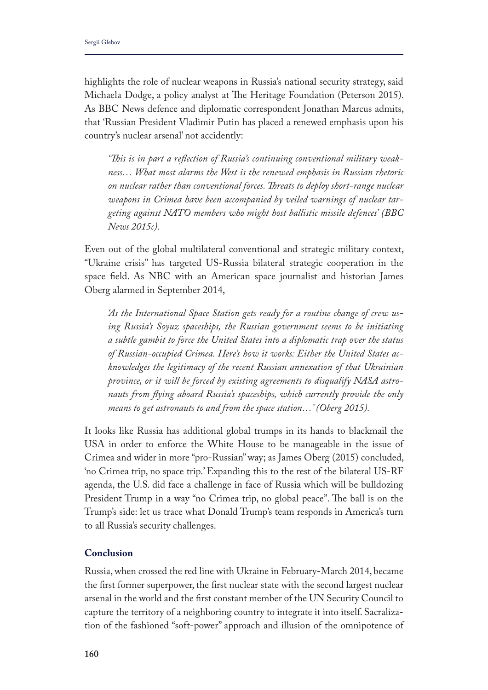highlights the role of nuclear weapons in Russia's national security strategy, said Michaela Dodge, a policy analyst at The Heritage Foundation (Peterson 2015). As BBC News defence and diplomatic correspondent Jonathan Marcus admits, that 'Russian President Vladimir Putin has placed a renewed emphasis upon his country's nuclear arsenal' not accidently:

*'Tis is in part a refection of Russia's continuing conventional military weakness… What most alarms the West is the renewed emphasis in Russian rhetoric on nuclear rather than conventional forces. Treats to deploy short-range nuclear weapons in Crimea have been accompanied by veiled warnings of nuclear targeting against NATO members who might host ballistic missile defences' (BBC News 2015c).*

Even out of the global multilateral conventional and strategic military context, "Ukraine crisis" has targeted US-Russia bilateral strategic cooperation in the space feld. As NBC with an American space journalist and historian James Oberg alarmed in September 2014,

*'As the International Space Station gets ready for a routine change of crew using Russia's Soyuz spaceships, the Russian government seems to be initiating a subtle gambit to force the United States into a diplomatic trap over the status of Russian-occupied Crimea. Here's how it works: Either the United States acknowledges the legitimacy of the recent Russian annexation of that Ukrainian province, or it will be forced by existing agreements to disqualify NASA astronauts from fying aboard Russia's spaceships, which currently provide the only means to get astronauts to and from the space station…' (Oberg 2015).*

It looks like Russia has additional global trumps in its hands to blackmail the USA in order to enforce the White House to be manageable in the issue of Crimea and wider in more "pro-Russian" way; as James Oberg (2015) concluded, 'no Crimea trip, no space trip.' Expanding this to the rest of the bilateral US-RF agenda, the U.S. did face a challenge in face of Russia which will be bulldozing President Trump in a way "no Crimea trip, no global peace". The ball is on the Trump's side: let us trace what Donald Trump's team responds in America's turn to all Russia's security challenges.

# **Conclusion**

Russia, when crossed the red line with Ukraine in February-March 2014, became the frst former superpower, the frst nuclear state with the second largest nuclear arsenal in the world and the frst constant member of the UN Security Council to capture the territory of a neighboring country to integrate it into itself. Sacralization of the fashioned "soft-power" approach and illusion of the omnipotence of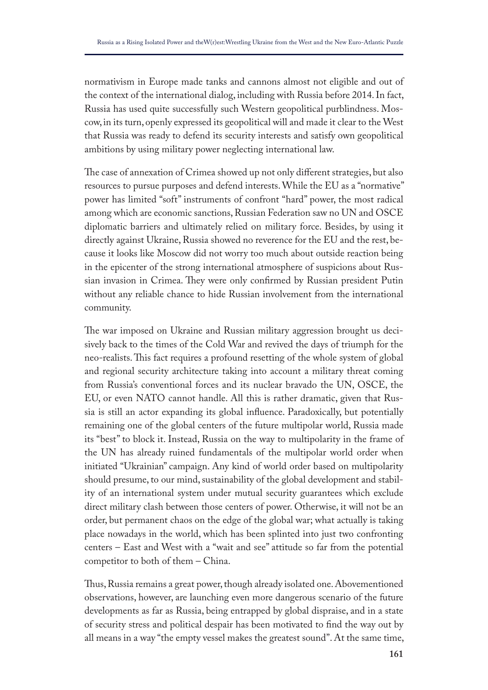normativism in Europe made tanks and cannons almost not eligible and out of the context of the international dialog, including with Russia before 2014. In fact, Russia has used quite successfully such Western geopolitical purblindness. Moscow, in its turn, openly expressed its geopolitical will and made it clear to the West that Russia was ready to defend its security interests and satisfy own geopolitical ambitions by using military power neglecting international law.

The case of annexation of Crimea showed up not only different strategies, but also resources to pursue purposes and defend interests. While the EU as a "normative" power has limited "soft" instruments of confront "hard" power, the most radical among which are economic sanctions, Russian Federation saw no UN and OSCE diplomatic barriers and ultimately relied on military force. Besides, by using it directly against Ukraine, Russia showed no reverence for the EU and the rest, because it looks like Moscow did not worry too much about outside reaction being in the epicenter of the strong international atmosphere of suspicions about Russian invasion in Crimea. They were only confirmed by Russian president Putin without any reliable chance to hide Russian involvement from the international community.

The war imposed on Ukraine and Russian military aggression brought us decisively back to the times of the Cold War and revived the days of triumph for the neo-realists. Tis fact requires a profound resetting of the whole system of global and regional security architecture taking into account a military threat coming from Russia's conventional forces and its nuclear bravado the UN, OSCE, the EU, or even NATO cannot handle. All this is rather dramatic, given that Russia is still an actor expanding its global infuence. Paradoxically, but potentially remaining one of the global centers of the future multipolar world, Russia made its "best" to block it. Instead, Russia on the way to multipolarity in the frame of the UN has already ruined fundamentals of the multipolar world order when initiated "Ukrainian" campaign. Any kind of world order based on multipolarity should presume, to our mind, sustainability of the global development and stability of an international system under mutual security guarantees which exclude direct military clash between those centers of power. Otherwise, it will not be an order, but permanent chaos on the edge of the global war; what actually is taking place nowadays in the world, which has been splinted into just two confronting centers – East and West with a "wait and see" attitude so far from the potential competitor to both of them – China.

Thus, Russia remains a great power, though already isolated one. Abovementioned observations, however, are launching even more dangerous scenario of the future developments as far as Russia, being entrapped by global dispraise, and in a state of security stress and political despair has been motivated to fnd the way out by all means in a way "the empty vessel makes the greatest sound". At the same time,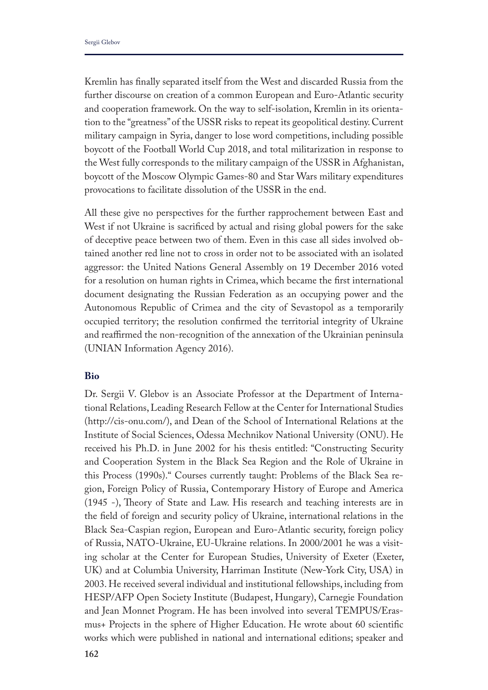Kremlin has fnally separated itself from the West and discarded Russia from the further discourse on creation of a common European and Euro-Atlantic security and cooperation framework. On the way to self-isolation, Kremlin in its orientation to the "greatness" of the USSR risks to repeat its geopolitical destiny. Current military campaign in Syria, danger to lose word competitions, including possible boycott of the Football World Cup 2018, and total militarization in response to the West fully corresponds to the military campaign of the USSR in Afghanistan, boycott of the Moscow Olympic Games-80 and Star Wars military expenditures provocations to facilitate dissolution of the USSR in the end.

All these give no perspectives for the further rapprochement between East and West if not Ukraine is sacrifced by actual and rising global powers for the sake of deceptive peace between two of them. Even in this case all sides involved obtained another red line not to cross in order not to be associated with an isolated aggressor: the United Nations General Assembly on 19 December 2016 voted for a resolution on human rights in Crimea, which became the frst international document designating the Russian Federation as an occupying power and the Autonomous Republic of Crimea and the city of Sevastopol as a temporarily occupied territory; the resolution confrmed the territorial integrity of Ukraine and reafrmed the non-recognition of the annexation of the Ukrainian peninsula (UNIAN Information Agency 2016).

#### **Bio**

Dr. Sergii V. Glebov is an Associate Professor at the Department of International Relations, Leading Research Fellow at the Center for International Studies (http://cis-onu.com/), and Dean of the School of International Relations at the Institute of Social Sciences, Odessa Mechnikov National University (ONU). He received his Ph.D. in June 2002 for his thesis entitled: "Constructing Security and Cooperation System in the Black Sea Region and the Role of Ukraine in this Process (1990s)." Courses currently taught: Problems of the Black Sea region, Foreign Policy of Russia, Contemporary History of Europe and America (1945 -), Theory of State and Law. His research and teaching interests are in the feld of foreign and security policy of Ukraine, international relations in the Black Sea-Caspian region, European and Euro-Atlantic security, foreign policy of Russia, NATO-Ukraine, EU-Ukraine relations. In 2000/2001 he was a visiting scholar at the Center for European Studies, University of Exeter (Exeter, UK) and at Columbia University, Harriman Institute (New-York City, USA) in 2003. He received several individual and institutional fellowships, including from HESP/AFP Open Society Institute (Budapest, Hungary), Carnegie Foundation and Jean Monnet Program. He has been involved into several TEMPUS/Erasmus+ Projects in the sphere of Higher Education. He wrote about 60 scientifc works which were published in national and international editions; speaker and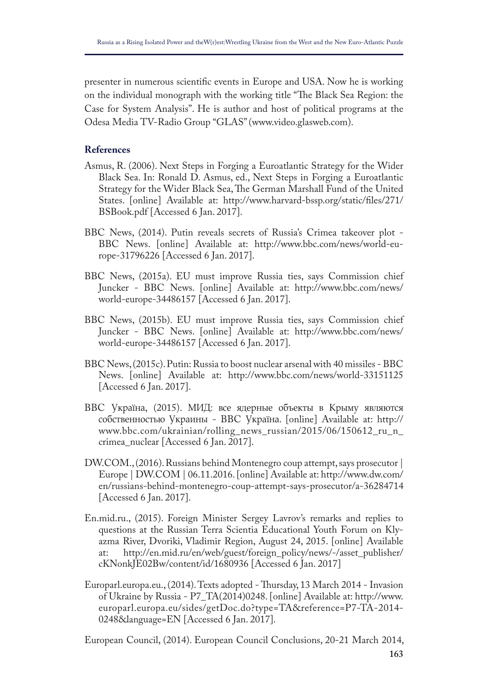presenter in numerous scientifc events in Europe and USA. Now he is working on the individual monograph with the working title "The Black Sea Region: the Case for System Analysis". He is author and host of political programs at the Odesa Media TV-Radio Group "GLAS" (www.video.glasweb.com).

## **References**

- Asmus, R. (2006). Next Steps in Forging a Euroatlantic Strategy for the Wider Black Sea. In: Ronald D. Asmus, ed., Next Steps in Forging a Euroatlantic Strategy for the Wider Black Sea, The German Marshall Fund of the United States. [online] Available at: http://www.harvard-bssp.org/static/fles/271/ BSBook.pdf [Accessed 6 Jan. 2017].
- BBC News, (2014). Putin reveals secrets of Russia's Crimea takeover plot BBC News. [online] Available at: http://www.bbc.com/news/world-europe-31796226 [Accessed 6 Jan. 2017].
- BBC News, (2015a). EU must improve Russia ties, says Commission chief Juncker - BBC News. [online] Available at: http://www.bbc.com/news/ world-europe-34486157 [Accessed 6 Jan. 2017].
- BBC News, (2015b). EU must improve Russia ties, says Commission chief Juncker - BBC News. [online] Available at: http://www.bbc.com/news/ world-europe-34486157 [Accessed 6 Jan. 2017].
- BBC News, (2015c). Putin: Russia to boost nuclear arsenal with 40 missiles BBC News. [online] Available at: http://www.bbc.com/news/world-33151125 [Accessed 6 Jan. 2017].
- BBC ȁкраїна, (2015). МИД: все ядерные объекты в Крыму являются собственностью ȁкраины - BBC ȁкраїна. [online] Available at: http:// www.bbc.com/ukrainian/rolling\_news\_russian/2015/06/150612\_ru\_n\_ crimea\_nuclear [Accessed 6 Jan. 2017].
- DW.COM., (2016). Russians behind Montenegro coup attempt, says prosecutor | Europe | DW.COM | 06.11.2016. [online] Available at: http://www.dw.com/ en/russians-behind-montenegro-coup-attempt-says-prosecutor/a-36284714 [Accessed 6 Jan. 2017].
- En.mid.ru., (2015). Foreign Minister Sergey Lavrov's remarks and replies to questions at the Russian Terra Scientia Educational Youth Forum on Klyazma River, Dvoriki, Vladimir Region, August 24, 2015. [online] Available at: http://en.mid.ru/en/web/guest/foreign policy/news/-/asset publisher/ http://en.mid.ru/en/web/guest/foreign\_policy/news/-/asset\_publisher/ cKNonkJE02Bw/content/id/1680936 [Accessed 6 Jan. 2017]
- Europarl.europa.eu., (2014). Texts adopted Thursday, 13 March 2014 Invasion of Ukraine by Russia - P7\_TA(2014)0248. [online] Available at: http://www. europarl.europa.eu/sides/getDoc.do?type=TA&reference=P7-TA-2014- 0248&language=EN [Accessed 6 Jan. 2017].

European Council, (2014). European Council Conclusions, 20-21 March 2014,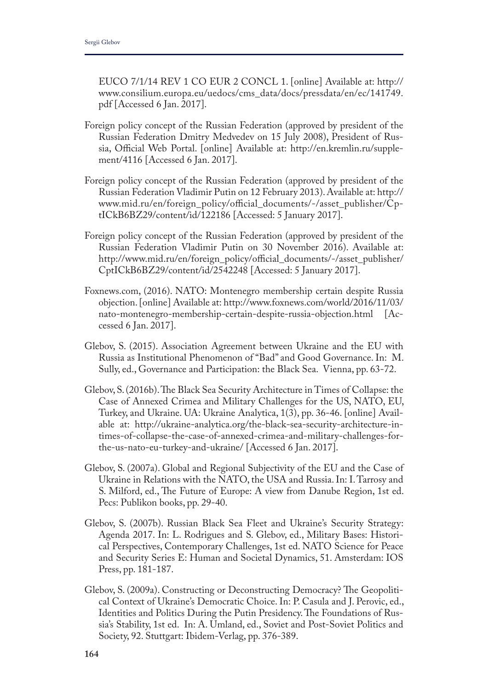EUCO 7/1/14 REV 1 CO EUR 2 CONCL 1. [online] Available at: http:// www.consilium.europa.eu/uedocs/cms\_data/docs/pressdata/en/ec/141749. pdf [Accessed 6 Jan. 2017].

- Foreign policy concept of the Russian Federation (approved by president of the Russian Federation Dmitry Medvedev on 15 July 2008), President of Russia, Official Web Portal. [online] Available at: http://en.kremlin.ru/supplement/4116 [Accessed 6 Jan. 2017].
- Foreign policy concept of the Russian Federation (approved by president of the Russian Federation Vladimir Putin on 12 February 2013). Available at: http:// www.mid.ru/en/foreign\_policy/official\_documents/-/asset\_publisher/CptICkB6BZ29/content/id/122186 [Accessed: 5 January 2017].
- Foreign policy concept of the Russian Federation (approved by president of the Russian Federation Vladimir Putin on 30 November 2016). Available at: http://www.mid.ru/en/foreign\_policy/official\_documents/-/asset\_publisher/ CptICkB6BZ29/content/id/2542248 [Accessed: 5 January 2017].
- Foxnews.com, (2016). NATO: Montenegro membership certain despite Russia objection. [online] Available at: http://www.foxnews.com/world/2016/11/03/ nato-montenegro-membership-certain-despite-russia-objection.html [Accessed 6 Jan. 2017].
- Glebov, S. (2015). Association Agreement between Ukraine and the EU with Russia as Institutional Phenomenon of "Bad" and Good Governance. In: M. Sully, ed., Governance and Participation: the Black Sea. Vienna, pp. 63-72.
- Glebov, S. (2016b). The Black Sea Security Architecture in Times of Collapse: the Case of Annexed Crimea and Military Challenges for the US, NATO, EU, Turkey, and Ukraine. UA: Ukraine Analytica, 1(3), pp. 36-46. [online] Available at: http://ukraine-analytica.org/the-black-sea-security-architecture-intimes-of-collapse-the-case-of-annexed-crimea-and-military-challenges-forthe-us-nato-eu-turkey-and-ukraine/ [Accessed 6 Jan. 2017].
- Glebov, S. (2007a). Global and Regional Subjectivity of the EU and the Case of Ukraine in Relations with the NATO, the USA and Russia. In: I. Tarrosy and S. Milford, ed., The Future of Europe: A view from Danube Region, 1st ed. Pecs: Publikon books, pp. 29-40.
- Glebov, S. (2007b). Russian Black Sea Fleet and Ukraine's Security Strategy: Agenda 2017. In: L. Rodrigues and S. Glebov, ed., Military Bases: Historical Perspectives, Contemporary Challenges, 1st ed. NATO Science for Peace and Security Series E: Human and Societal Dynamics, 51. Amsterdam: IOS Press, pp. 181-187.
- Glebov, S. (2009a). Constructing or Deconstructing Democracy? The Geopolitical Context of Ukraine's Democratic Choice. In: P. Casula and J. Perovic, ed., Identities and Politics During the Putin Presidency. The Foundations of Russia's Stability, 1st ed. In: A. Umland, ed., Soviet and Post-Soviet Politics and Society, 92. Stuttgart: Ibidem-Verlag, pp. 376-389.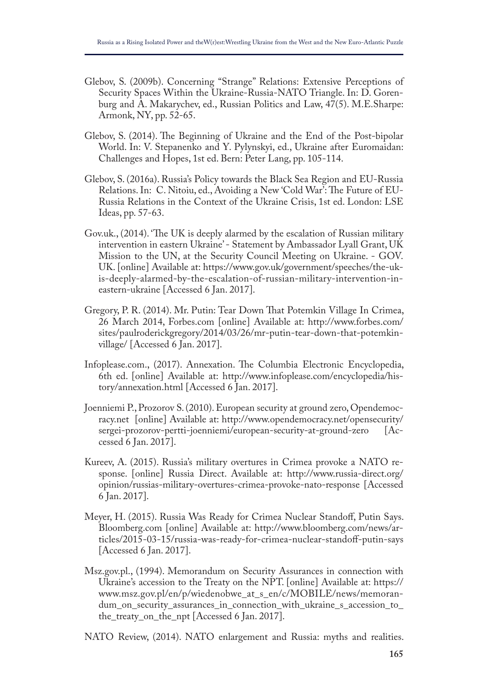- Glebov, S. (2009b). Concerning "Strange" Relations: Extensive Perceptions of Security Spaces Within the Ukraine-Russia-NATO Triangle. In: D. Gorenburg and A. Makarychev, ed., Russian Politics and Law, 47(5). M.E.Sharpe: Armonk, NY, pp. 52-65.
- Glebov, S. (2014). The Beginning of Ukraine and the End of the Post-bipolar World. In: V. Stepanenko and Y. Pylynskyi, ed., Ukraine after Euromaidan: Challenges and Hopes, 1st ed. Bern: Peter Lang, pp. 105-114.
- Glebov, S. (2016a). Russia's Policy towards the Black Sea Region and EU-Russia Relations. In: C. Nitoiu, ed., Avoiding a New 'Cold War': The Future of EU-Russia Relations in the Context of the Ukraine Crisis, 1st ed. London: LSE Ideas, pp. 57-63.
- Gov.uk., (2014). 'The UK is deeply alarmed by the escalation of Russian military intervention in eastern Ukraine' - Statement by Ambassador Lyall Grant, UK Mission to the UN, at the Security Council Meeting on Ukraine. - GOV. UK. [online] Available at: https://www.gov.uk/government/speeches/the-ukis-deeply-alarmed-by-the-escalation-of-russian-military-intervention-ineastern-ukraine [Accessed 6 Jan. 2017].
- Gregory, P. R. (2014). Mr. Putin: Tear Down Tat Potemkin Village In Crimea, 26 March 2014, Forbes.com [online] Available at: http://www.forbes.com/ sites/paulroderickgregory/2014/03/26/mr-putin-tear-down-that-potemkinvillage/ [Accessed 6 Jan. 2017].
- Infoplease.com., (2017). Annexation. The Columbia Electronic Encyclopedia, 6th ed. [online] Available at: http://www.infoplease.com/encyclopedia/history/annexation.html [Accessed 6 Jan. 2017].
- Joenniemi P., Prozorov S. (2010). European security at ground zero, Opendemocracy.net [online] Available at: http://www.opendemocracy.net/opensecurity/ sergei-prozorov-pertti-joenniemi/european-security-at-ground-zero [Accessed 6 Jan. 2017].
- Kureev, A. (2015). Russia's military overtures in Crimea provoke a NATO response. [online] Russia Direct. Available at: http://www.russia-direct.org/ opinion/russias-military-overtures-crimea-provoke-nato-response [Accessed 6 Jan. 2017].
- Meyer, H. (2015). Russia Was Ready for Crimea Nuclear Standof, Putin Says. Bloomberg.com [online] Available at: http://www.bloomberg.com/news/articles/2015-03-15/russia-was-ready-for-crimea-nuclear-standoff-putin-says [Accessed 6 Jan. 2017].
- Msz.gov.pl., (1994). Memorandum on Security Assurances in connection with Ukraine's accession to the Treaty on the NPT. [online] Available at: https:// www.msz.gov.pl/en/p/wiedenobwe\_at\_s\_en/c/MOBILE/news/memorandum\_on\_security\_assurances\_in\_connection\_with\_ukraine\_s\_accession\_to\_ the\_treaty\_on\_the\_npt [Accessed 6 Jan. 2017].
- NATO Review, (2014). NATO enlargement and Russia: myths and realities.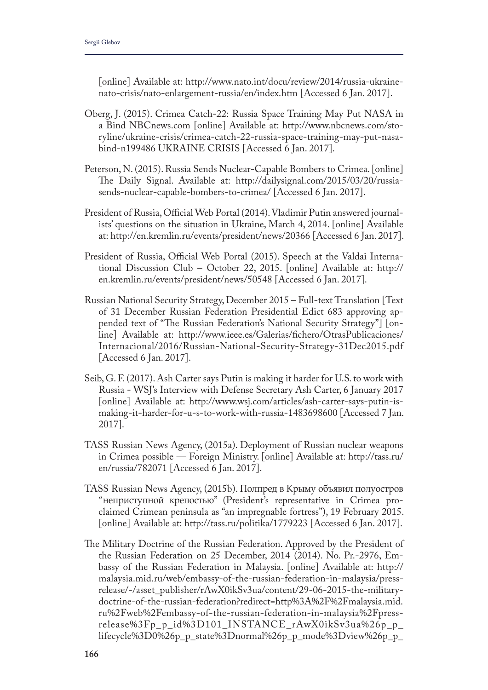[online] Available at: http://www.nato.int/docu/review/2014/russia-ukrainenato-crisis/nato-enlargement-russia/en/index.htm [Accessed 6 Jan. 2017].

- Oberg, J. (2015). Crimea Catch-22: Russia Space Training May Put NASA in a Bind NBCnews.com [online] Available at: http://www.nbcnews.com/storyline/ukraine-crisis/crimea-catch-22-russia-space-training-may-put-nasabind-n199486 UKRAINE CRISIS [Accessed 6 Jan. 2017].
- Peterson, N. (2015). Russia Sends Nuclear-Capable Bombers to Crimea. [online] The Daily Signal. Available at: http://dailysignal.com/2015/03/20/russiasends-nuclear-capable-bombers-to-crimea/ [Accessed 6 Jan. 2017].
- President of Russia, Official Web Portal (2014). Vladimir Putin answered journalists' questions on the situation in Ukraine, March 4, 2014. [online] Available at: http://en.kremlin.ru/events/president/news/20366 [Accessed 6 Jan. 2017].
- President of Russia, Official Web Portal (2015). Speech at the Valdai International Discussion Club – October 22, 2015. [online] Available at: http:// en.kremlin.ru/events/president/news/50548 [Accessed 6 Jan. 2017].
- Russian National Security Strategy, December 2015 Full-text Translation [Text of 31 December Russian Federation Presidential Edict 683 approving appended text of "The Russian Federation's National Security Strategy"] [online] Available at: http://www.ieee.es/Galerias/fchero/OtrasPublicaciones/ Internacional/2016/Russian-National-Security-Strategy-31Dec2015.pdf [Accessed 6 Jan. 2017].
- Seib, G. F. (2017). Ash Carter says Putin is making it harder for U.S. to work with Russia - WSJ's Interview with Defense Secretary Ash Carter, 6 January 2017 [online] Available at: http://www.wsj.com/articles/ash-carter-says-putin-ismaking-it-harder-for-u-s-to-work-with-russia-1483698600 [Accessed 7 Jan. 2017].
- TASS Russian News Agency, (2015a). Deployment of Russian nuclear weapons in Crimea possible — Foreign Ministry. [online] Available at: http://tass.ru/ en/russia/782071 [Accessed 6 Jan. 2017].
- TASS Russian News Agency, (2015b). Полпред в Крыму объявил полуостров "неприступной крепостью" (President's representative in Crimea proclaimed Crimean peninsula as "an impregnable fortress"), 19 February 2015. [online] Available at: http://tass.ru/politika/1779223 [Accessed 6 Jan. 2017].
- The Military Doctrine of the Russian Federation. Approved by the President of the Russian Federation on 25 December, 2014 (2014). No. Pr.-2976, Embassy of the Russian Federation in Malaysia. [online] Available at: http:// malaysia.mid.ru/web/embassy-of-the-russian-federation-in-malaysia/pressrelease/-/asset\_publisher/rAwX0ikSv3ua/content/29-06-2015-the-militarydoctrine-of-the-russian-federation?redirect=http%3A%2F%2Fmalaysia.mid. ru%2Fweb%2Fembassy-of-the-russian-federation-in-malaysia%2Fpressrelease%3Fp\_p\_id%3D101\_INSTANCE\_rAwX0ikSv3ua%26p\_p\_ lifecycle%3D0%26p\_p\_state%3Dnormal%26p\_p\_mode%3Dview%26p\_p\_